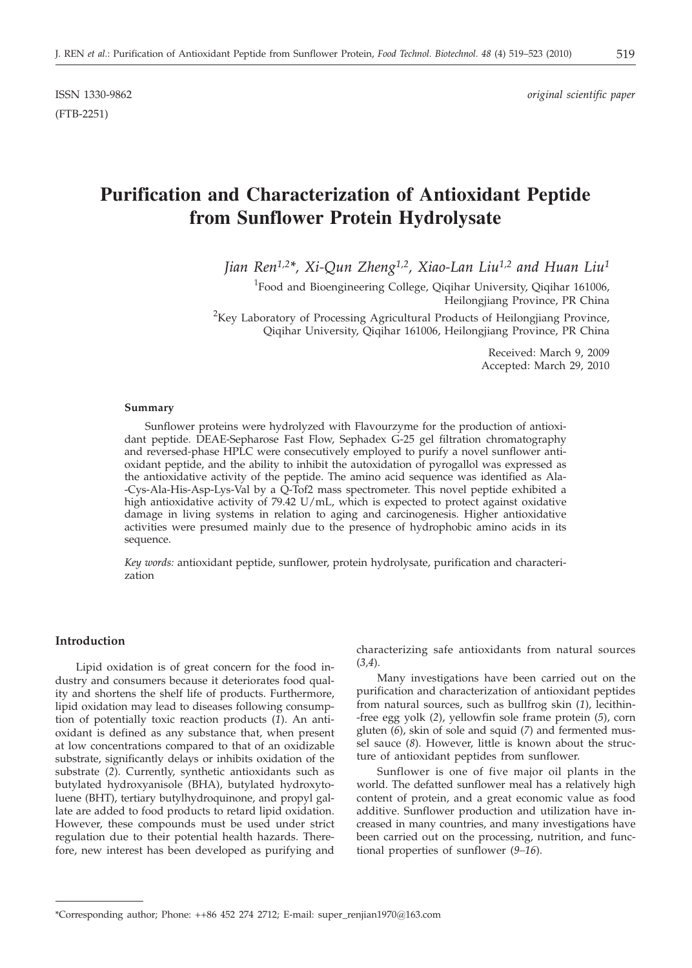(FTB-2251)

# **Purification and Characterization of Antioxidant Peptide from Sunflower Protein Hydrolysate**

*Jian Ren1,2\*, Xi-Qun Zheng1,2, Xiao-Lan Liu1,2 and Huan Liu1*

<sup>1</sup> Food and Bioengineering College, Qiqihar University, Qiqihar 161006, Heilongjiang Province, PR China

<sup>2</sup>Key Laboratory of Processing Agricultural Products of Heilongjiang Province, Qiqihar University, Qiqihar 161006, Heilongjiang Province, PR China

> Received: March 9, 2009 Accepted: March 29, 2010

#### **Summary**

Sunflower proteins were hydrolyzed with Flavourzyme for the production of antioxidant peptide. DEAE-Sepharose Fast Flow, Sephadex G-25 gel filtration chromatography and reversed-phase HPLC were consecutively employed to purify a novel sunflower antioxidant peptide, and the ability to inhibit the autoxidation of pyrogallol was expressed as the antioxidative activity of the peptide. The amino acid sequence was identified as Ala- -Cys-Ala-His-Asp-Lys-Val by a Q-Tof2 mass spectrometer. This novel peptide exhibited a high antioxidative activity of 79.42 U/mL, which is expected to protect against oxidative damage in living systems in relation to aging and carcinogenesis. Higher antioxidative activities were presumed mainly due to the presence of hydrophobic amino acids in its sequence.

*Key words:* antioxidant peptide, sunflower, protein hydrolysate, purification and characterization

#### **Introduction**

Lipid oxidation is of great concern for the food industry and consumers because it deteriorates food quality and shortens the shelf life of products. Furthermore, lipid oxidation may lead to diseases following consumption of potentially toxic reaction products (*1*). An antioxidant is defined as any substance that, when present at low concentrations compared to that of an oxidizable substrate, significantly delays or inhibits oxidation of the substrate (*2*). Currently, synthetic antioxidants such as butylated hydroxyanisole (BHA), butylated hydroxytoluene (BHT), tertiary butylhydroquinone, and propyl gallate are added to food products to retard lipid oxidation. However, these compounds must be used under strict regulation due to their potential health hazards. Therefore, new interest has been developed as purifying and characterizing safe antioxidants from natural sources (*3,4*).

Many investigations have been carried out on the purification and characterization of antioxidant peptides from natural sources, such as bullfrog skin (*1*), lecithin- -free egg yolk (*2*), yellowfin sole frame protein (*5*), corn gluten (*6*), skin of sole and squid (*7*) and fermented mussel sauce (*8*). However, little is known about the structure of antioxidant peptides from sunflower.

Sunflower is one of five major oil plants in the world. The defatted sunflower meal has a relatively high content of protein, and a great economic value as food additive. Sunflower production and utilization have increased in many countries, and many investigations have been carried out on the processing, nutrition, and functional properties of sunflower (*9–16*).

<sup>\*</sup>Corresponding author; Phone: ++86 452 274 2712; E-mail: super\_renjian1970@163.com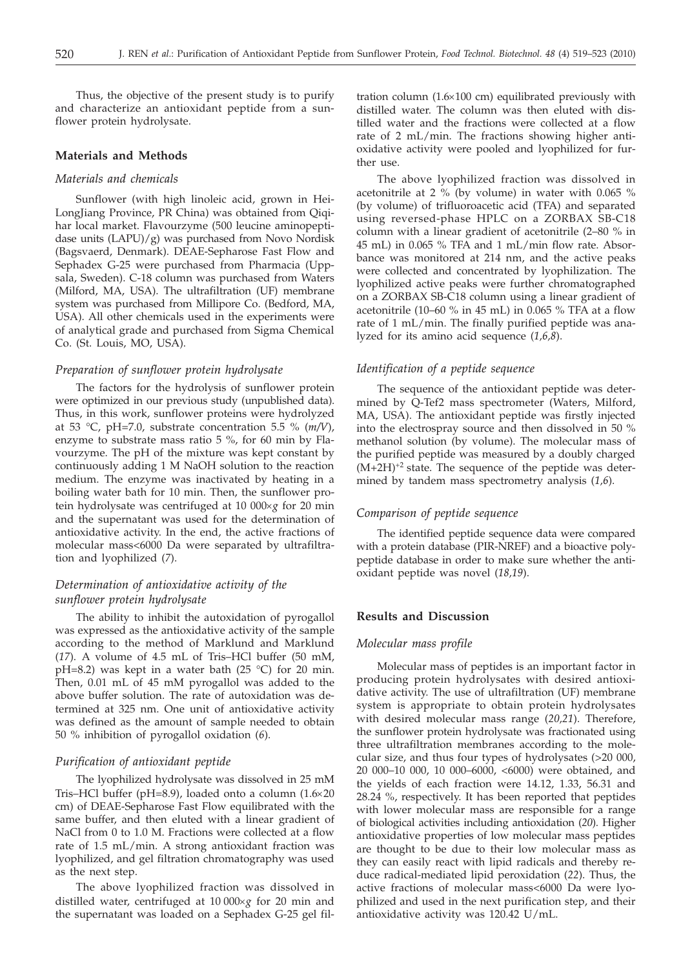Thus, the objective of the present study is to purify and characterize an antioxidant peptide from a sunflower protein hydrolysate.

## **Materials and Methods**

## *Materials and chemicals*

Sunflower (with high linoleic acid, grown in Hei-LongJiang Province, PR China) was obtained from Qiqihar local market. Flavourzyme (500 leucine aminopeptidase units (LAPU)/g) was purchased from Novo Nordisk (Bagsvaerd, Denmark). DEAE-Sepharose Fast Flow and Sephadex G-25 were purchased from Pharmacia (Uppsala, Sweden). C-18 column was purchased from Waters (Milford, MA, USA). The ultrafiltration (UF) membrane system was purchased from Millipore Co. (Bedford, MA, USA). All other chemicals used in the experiments were of analytical grade and purchased from Sigma Chemical Co. (St. Louis, MO, USA).

# *Preparation of sunflower protein hydrolysate*

The factors for the hydrolysis of sunflower protein were optimized in our previous study (unpublished data). Thus, in this work, sunflower proteins were hydrolyzed at 53 °C, pH=7.0, substrate concentration 5.5 % (*m/V*), enzyme to substrate mass ratio 5 %, for 60 min by Flavourzyme. The pH of the mixture was kept constant by continuously adding 1 M NaOH solution to the reaction medium. The enzyme was inactivated by heating in a boiling water bath for 10 min. Then, the sunflower protein hydrolysate was centrifuged at 10 000×g for 20 min and the supernatant was used for the determination of antioxidative activity. In the end, the active fractions of molecular mass<6000 Da were separated by ultrafiltration and lyophilized (*7*).

# *Determination of antioxidative activity of the sunflower protein hydrolysate*

The ability to inhibit the autoxidation of pyrogallol was expressed as the antioxidative activity of the sample according to the method of Marklund and Marklund (*17*). A volume of 4.5 mL of Tris–HCl buffer (50 mM, pH=8.2) was kept in a water bath (25 °C) for 20 min. Then, 0.01 mL of 45 mM pyrogallol was added to the above buffer solution. The rate of autoxidation was determined at 325 nm. One unit of antioxidative activity was defined as the amount of sample needed to obtain 50 % inhibition of pyrogallol oxidation (*6*).

# *Purification of antioxidant peptide*

The lyophilized hydrolysate was dissolved in 25 mM Tris–HCl buffer (pH=8.9), loaded onto a column  $(1.6\times20)$ cm) of DEAE-Sepharose Fast Flow equilibrated with the same buffer, and then eluted with a linear gradient of NaCl from 0 to 1.0 M. Fractions were collected at a flow rate of 1.5 mL/min. A strong antioxidant fraction was lyophilized, and gel filtration chromatography was used as the next step.

The above lyophilized fraction was dissolved in distilled water, centrifuged at 10 000×g for 20 min and the supernatant was loaded on a Sephadex G-25 gel filtration column  $(1.6\times100$  cm) equilibrated previously with distilled water. The column was then eluted with distilled water and the fractions were collected at a flow rate of 2 mL/min. The fractions showing higher antioxidative activity were pooled and lyophilized for further use.

The above lyophilized fraction was dissolved in acetonitrile at 2 % (by volume) in water with 0.065 % (by volume) of trifluoroacetic acid (TFA) and separated using reversed-phase HPLC on a ZORBAX SB-C18 column with a linear gradient of acetonitrile (2–80 % in 45 mL) in 0.065 % TFA and 1 mL/min flow rate. Absorbance was monitored at 214 nm, and the active peaks were collected and concentrated by lyophilization. The lyophilized active peaks were further chromatographed on a ZORBAX SB-C18 column using a linear gradient of acetonitrile (10–60 % in 45 mL) in 0.065 % TFA at a flow rate of 1 mL/min. The finally purified peptide was analyzed for its amino acid sequence (*1,6,8*).

# *Identification of a peptide sequence*

The sequence of the antioxidant peptide was determined by Q-Tef2 mass spectrometer (Waters, Milford, MA, USA). The antioxidant peptide was firstly injected into the electrospray source and then dissolved in 50 % methanol solution (by volume). The molecular mass of the purified peptide was measured by a doubly charged  $(M+2H)^{+2}$  state. The sequence of the peptide was determined by tandem mass spectrometry analysis (*1,6*).

# *Comparison of peptide sequence*

The identified peptide sequence data were compared with a protein database (PIR-NREF) and a bioactive polypeptide database in order to make sure whether the antioxidant peptide was novel (*18,19*).

# **Results and Discussion**

## *Molecular mass profile*

Molecular mass of peptides is an important factor in producing protein hydrolysates with desired antioxidative activity. The use of ultrafiltration (UF) membrane system is appropriate to obtain protein hydrolysates with desired molecular mass range (*20,21*). Therefore, the sunflower protein hydrolysate was fractionated using three ultrafiltration membranes according to the molecular size, and thus four types of hydrolysates (>20 000, 20 000–10 000, 10 000–6000, <6000) were obtained, and the yields of each fraction were 14.12, 1.33, 56.31 and 28.24 %, respectively. It has been reported that peptides with lower molecular mass are responsible for a range of biological activities including antioxidation (*20*). Higher antioxidative properties of low molecular mass peptides are thought to be due to their low molecular mass as they can easily react with lipid radicals and thereby reduce radical-mediated lipid peroxidation (*22*). Thus, the active fractions of molecular mass<6000 Da were lyophilized and used in the next purification step, and their antioxidative activity was 120.42 U/mL.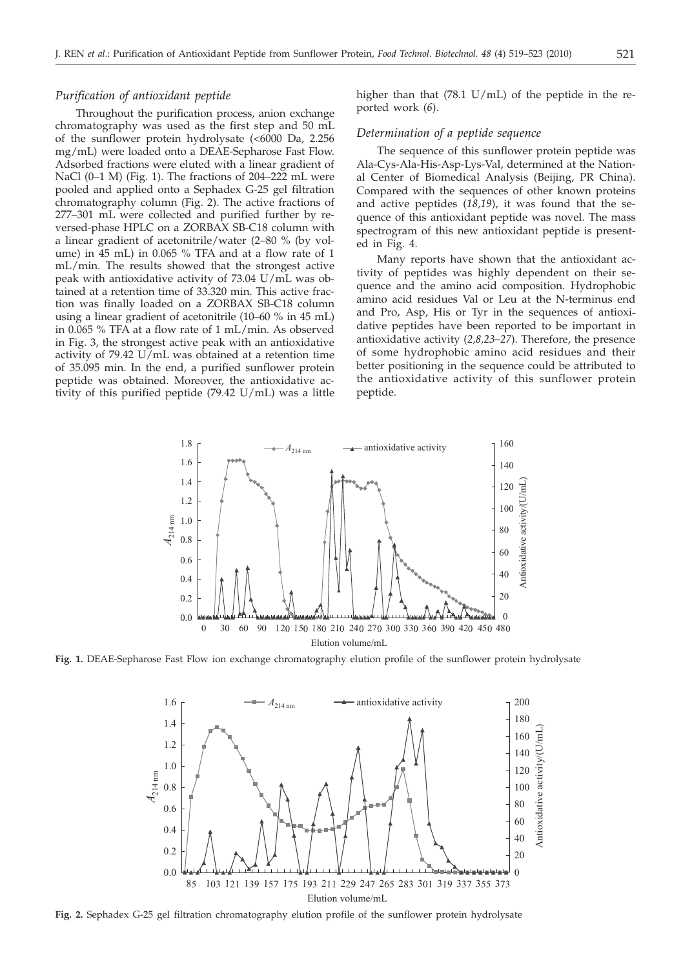#### *Purification of antioxidant peptide*

Throughout the purification process, anion exchange chromatography was used as the first step and 50 mL of the sunflower protein hydrolysate (<6000 Da, 2.256 mg/mL) were loaded onto a DEAE-Sepharose Fast Flow. Adsorbed fractions were eluted with a linear gradient of NaCl (0–1 M) (Fig. 1). The fractions of 204–222 mL were pooled and applied onto a Sephadex G-25 gel filtration chromatography column (Fig. 2). The active fractions of 277–301 mL were collected and purified further by reversed-phase HPLC on a ZORBAX SB-C18 column with a linear gradient of acetonitrile/water (2–80 % (by volume) in 45 mL) in 0.065 % TFA and at a flow rate of 1 mL/min. The results showed that the strongest active peak with antioxidative activity of 73.04 U/mL was obtained at a retention time of 33.320 min. This active fraction was finally loaded on a ZORBAX SB-C18 column using a linear gradient of acetonitrile (10–60 % in 45 mL) in 0.065 % TFA at a flow rate of 1 mL/min. As observed in Fig. 3, the strongest active peak with an antioxidative activity of 79.42 U/mL was obtained at a retention time of 35.095 min. In the end, a purified sunflower protein peptide was obtained. Moreover, the antioxidative activity of this purified peptide (79.42 U/mL) was a little

higher than that (78.1 U/mL) of the peptide in the reported work (*6*).

#### *Determination of a peptide sequence*

The sequence of this sunflower protein peptide was Ala-Cys-Ala-His-Asp-Lys-Val, determined at the National Center of Biomedical Analysis (Beijing, PR China). Compared with the sequences of other known proteins and active peptides (*18,19*), it was found that the sequence of this antioxidant peptide was novel. The mass spectrogram of this new antioxidant peptide is presented in Fig. 4.

Many reports have shown that the antioxidant activity of peptides was highly dependent on their sequence and the amino acid composition. Hydrophobic amino acid residues Val or Leu at the N-terminus end and Pro, Asp, His or Tyr in the sequences of antioxidative peptides have been reported to be important in antioxidative activity (*2,8,23–27*). Therefore, the presence of some hydrophobic amino acid residues and their better positioning in the sequence could be attributed to the antioxidative activity of this sunflower protein peptide.



**Fig. 1.** DEAE-Sepharose Fast Flow ion exchange chromatography elution profile of the sunflower protein hydrolysate



**Fig. 2.** Sephadex G-25 gel filtration chromatography elution profile of the sunflower protein hydrolysate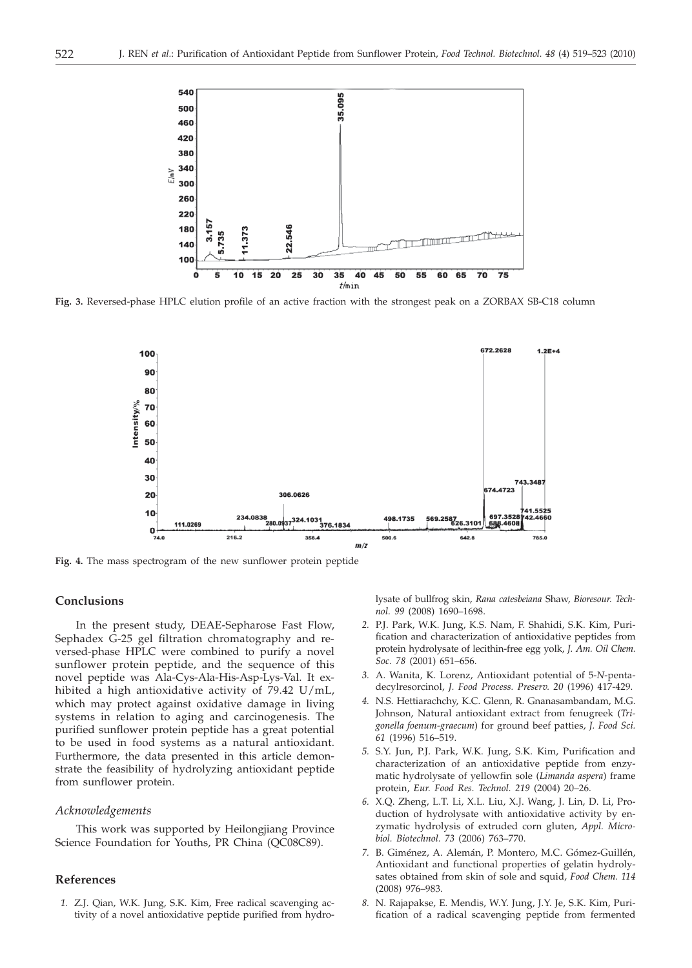

**Fig. 3.** Reversed-phase HPLC elution profile of an active fraction with the strongest peak on a ZORBAX SB-C18 column



**Fig. 4.** The mass spectrogram of the new sunflower protein peptide

## **Conclusions**

In the present study, DEAE-Sepharose Fast Flow, Sephadex G-25 gel filtration chromatography and reversed-phase HPLC were combined to purify a novel sunflower protein peptide, and the sequence of this novel peptide was Ala-Cys-Ala-His-Asp-Lys-Val. It exhibited a high antioxidative activity of 79.42 U/mL, which may protect against oxidative damage in living systems in relation to aging and carcinogenesis. The purified sunflower protein peptide has a great potential to be used in food systems as a natural antioxidant. Furthermore, the data presented in this article demonstrate the feasibility of hydrolyzing antioxidant peptide from sunflower protein.

# *Acknowledgements*

This work was supported by Heilongjiang Province Science Foundation for Youths, PR China (QC08C89).

## **References**

*1.* Z.J. Qian, W.K. Jung, S.K. Kim, Free radical scavenging activity of a novel antioxidative peptide purified from hydrolysate of bullfrog skin, *Rana catesbeiana* Shaw, *Bioresour. Technol. 99* (2008) 1690–1698.

- *2.* P.J. Park, W.K. Jung, K.S. Nam, F. Shahidi, S.K. Kim, Purification and characterization of antioxidative peptides from protein hydrolysate of lecithin-free egg yolk, *J. Am. Oil Chem. Soc. 78* (2001) 651–656.
- *3.* A. Wanita, K. Lorenz, Antioxidant potential of 5-*N*-pentadecylresorcinol, *J. Food Process. Preserv. 20* (1996) 417-429.
- *4.* N.S. Hettiarachchy, K.C. Glenn, R. Gnanasambandam, M.G. Johnson, Natural antioxidant extract from fenugreek (*Trigonella foenum-graecum*) for ground beef patties, *J. Food Sci. 61* (1996) 516–519.
- *5.* S.Y. Jun, P.J. Park, W.K. Jung, S.K. Kim, Purification and characterization of an antioxidative peptide from enzymatic hydrolysate of yellowfin sole (*Limanda aspera*) frame protein, *Eur. Food Res. Technol. 219* (2004) 20–26.
- *6.* X.Q. Zheng, L.T. Li, X.L. Liu, X.J. Wang, J. Lin, D. Li, Production of hydrolysate with antioxidative activity by enzymatic hydrolysis of extruded corn gluten, *Appl. Microbiol. Biotechnol. 73* (2006) 763–770.
- *7.* B. Giménez, A. Alemán, P. Montero, M.C. Gómez-Guillén, Antioxidant and functional properties of gelatin hydrolysates obtained from skin of sole and squid, *Food Chem. 114* (2008) 976–983.
- *8.* N. Rajapakse, E. Mendis, W.Y. Jung, J.Y. Je, S.K. Kim, Purification of a radical scavenging peptide from fermented